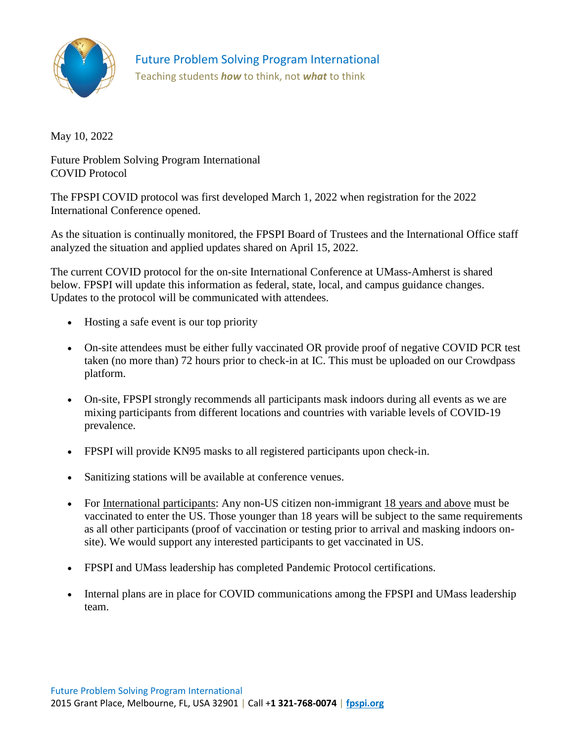

Future Problem Solving Program International

Teaching students *how* to think, not *what* to think

May 10, 2022

Future Problem Solving Program International COVID Protocol

The FPSPI COVID protocol was first developed March 1, 2022 when registration for the 2022 International Conference opened.

As the situation is continually monitored, the FPSPI Board of Trustees and the International Office staff analyzed the situation and applied updates shared on April 15, 2022.

The current COVID protocol for the on-site International Conference at UMass-Amherst is shared below. FPSPI will update this information as federal, state, local, and campus guidance changes. Updates to the protocol will be communicated with attendees.

- Hosting a safe event is our top priority
- On-site attendees must be either fully vaccinated OR provide proof of negative COVID PCR test taken (no more than) 72 hours prior to check-in at IC. This must be uploaded on our Crowdpass platform.
- On-site, FPSPI strongly recommends all participants mask indoors during all events as we are mixing participants from different locations and countries with variable levels of COVID-19 prevalence.
- FPSPI will provide KN95 masks to all registered participants upon check-in.
- Sanitizing stations will be available at conference venues.
- For International participants: Any non-US citizen non-immigrant [18 years and above](https://www.cdc.gov/coronavirus/2019-ncov/travelers/proof-of-vaccination.html.) must be vaccinated to enter the US. Those younger than 18 years will be subject to the same requirements as all other participants (proof of vaccination or testing prior to arrival and masking indoors onsite). We would support any interested participants to get vaccinated in US.
- FPSPI and UMass leadership has completed Pandemic Protocol certifications.
- Internal plans are in place for COVID communications among the FPSPI and UMass leadership team.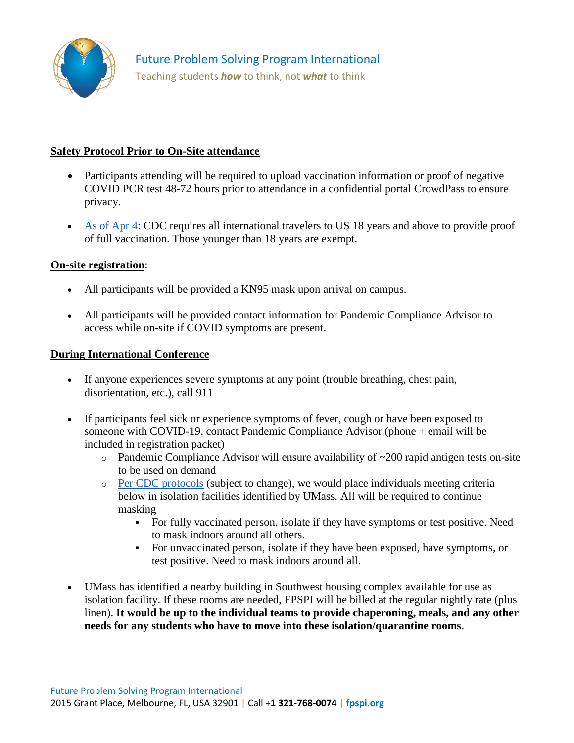

## **Safety Protocol Prior to On-Site attendance**

- Participants attending will be required to upload vaccination information or proof of negative COVID PCR test 48-72 hours prior to attendance in a confidential portal CrowdPass to ensure privacy.
- [As of Apr 4:](https://www.cdc.gov/coronavirus/2019-ncov/travelers/proof-of-vaccination.html) CDC requires all international travelers to US 18 years and above to provide proof of full vaccination. Those younger than 18 years are exempt.

## **On-site registration**:

- All participants will be provided a KN95 mask upon arrival on campus.
- All participants will be provided contact information for Pandemic Compliance Advisor to access while on-site if COVID symptoms are present.

## **During International Conference**

- If anyone experiences severe symptoms at any point (trouble breathing, chest pain, disorientation, etc.), call 911
- If participants feel sick or experience symptoms of fever, cough or have been exposed to someone with COVID-19, contact Pandemic Compliance Advisor (phone + email will be included in registration packet)
	- $\circ$  Pandemic Compliance Advisor will ensure availability of  $\sim$ 200 rapid antigen tests on-site to be used on demand
	- o [Per CDC protocols](https://www.cdc.gov/coronavirus/2019-ncov/your-health/quarantine-isolation.html) (subject to change), we would place individuals meeting criteria below in isolation facilities identified by UMass. All will be required to continue masking
		- For fully vaccinated person, isolate if they have symptoms or test positive. Need to mask indoors around all others.
		- For unvaccinated person, isolate if they have been exposed, have symptoms, or test positive. Need to mask indoors around all.
- UMass has identified a nearby building in Southwest housing complex available for use as isolation facility. If these rooms are needed, FPSPI will be billed at the regular nightly rate (plus linen). **It would be up to the individual teams to provide chaperoning, meals, and any other needs for any students who have to move into these isolation/quarantine rooms**.